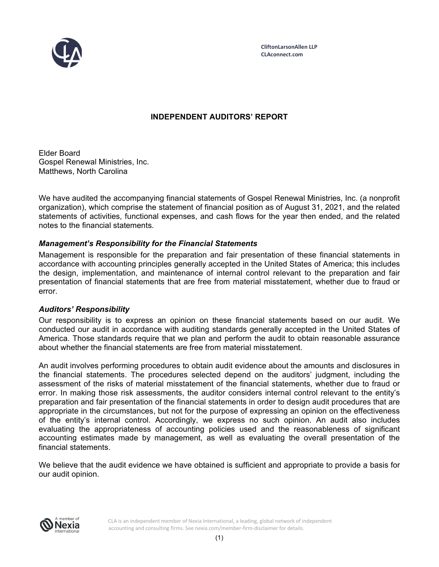

CliftonLarsonAllen LLP CLAconnect.com

# **INDEPENDENT AUDITORS' REPORT**

Elder Board Gospel Renewal Ministries, Inc. Matthews, North Carolina

We have audited the accompanying financial statements of Gospel Renewal Ministries, Inc. (a nonprofit organization), which comprise the statement of financial position as of August 31, 2021, and the related statements of activities, functional expenses, and cash flows for the year then ended, and the related notes to the financial statements.

# Management's Responsibility for the Financial Statements

Management is responsible for the preparation and fair presentation of these financial statements in accordance with accounting principles generally accepted in the United States of America; this includes the design, implementation, and maintenance of internal control relevant to the preparation and fair presentation of financial statements that are free from material misstatement, whether due to fraud or error.

### **Auditors' Responsibility**

Our responsibility is to express an opinion on these financial statements based on our audit. We conducted our audit in accordance with auditing standards generally accepted in the United States of America. Those standards require that we plan and perform the audit to obtain reasonable assurance about whether the financial statements are free from material misstatement.

Is an independent member of Nexia International, a leading, global network of independent<br>CLA is an independent member of Nexia International material statement.<br>The procedures selected depend on the auditors' judgment, in An audit involves performing procedures to obtain audit evidence about the amounts and disclosures in the financial statements. The procedures selected depend on the auditors' judgment, including the assessment of the risks of material misstatement of the financial statements, whether due to fraud or error. In making those risk assessments, the auditor considers internal control relevant to the entity's preparation and fair presentation of the financial statements in order to design audit procedures that are appropriate in the circumstances, but not for the purpose of expressing an opinion on the effectiveness of the entitys internal control. Accordingly, we express no such opinion. An audit also includes evaluating the appropriateness of accounting policies used and the reasonableness of significant accounting estimates made by management, as well as evaluating the overall presentation of the financial statements.

We believe that the audit evidence we have obtained is sufficient and appropriate to provide a basis for our audit opinion.



accounting and consulting firms. See nexia.com/member-firm-disclaimer for details.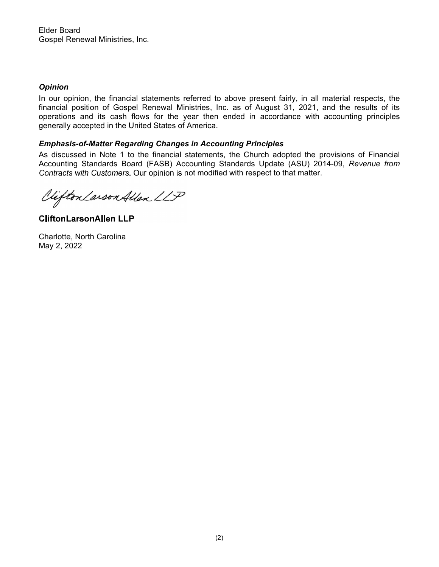# **Opinion**

In our opinion, the financial statements referred to above present fairly, in all material respects, the financial position of Gospel Renewal Ministries, Inc. as of August 31, 2021, and the results of its operations and its cash flows for the year then ended in accordance with accounting principles generally accepted in the United States of America.

# Emphasis-of-Matter Regarding Changes in Accounting Principles

As discussed in Note 1 to the financial statements, the Church adopted the provisions of Financial Accounting Standards Board (FASB) Accounting Standards Update (ASU) 2014-09, Revenue from Contracts with Customers. Our opinion is not modified with respect to that matter.

Clifton Larson Allen LLP

CliftonLarsonAllen LLP

Charlotte, North Carolina May 2, 2022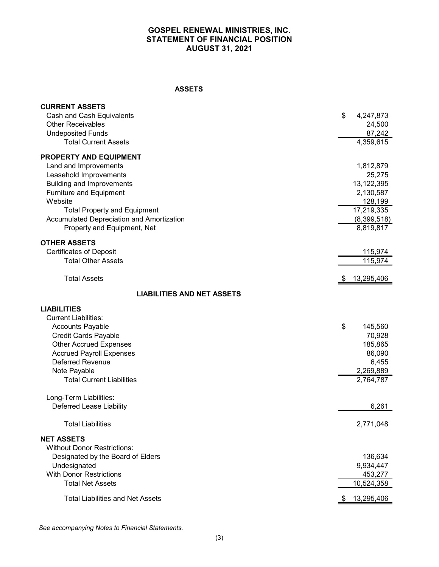### GOSPEL RENEWAL MINISTRIES, INC. STATEMENT OF FINANCIAL POSITION AUGUST 31, 2021

#### ASSETS

| <b>ASSETS</b>                                               |                       |
|-------------------------------------------------------------|-----------------------|
| <b>CURRENT ASSETS</b>                                       |                       |
| Cash and Cash Equivalents                                   | 4,247,873<br>\$       |
| <b>Other Receivables</b>                                    | 24,500                |
| <b>Undeposited Funds</b>                                    | 87,242                |
| <b>Total Current Assets</b>                                 | 4,359,615             |
| PROPERTY AND EQUIPMENT                                      |                       |
| Land and Improvements                                       | 1,812,879             |
| Leasehold Improvements                                      | 25,275                |
| <b>Building and Improvements</b>                            | 13, 122, 395          |
| Furniture and Equipment                                     | 2,130,587             |
| Website<br><b>Total Property and Equipment</b>              | 128,199<br>17,219,335 |
| Accumulated Depreciation and Amortization                   | (8,399,518)           |
| Property and Equipment, Net                                 | 8,819,817             |
|                                                             |                       |
| <b>OTHER ASSETS</b>                                         |                       |
| <b>Certificates of Deposit</b><br><b>Total Other Assets</b> | 115,974<br>115,974    |
|                                                             |                       |
| <b>Total Assets</b>                                         | 13,295,406            |
| <b>LIABILITIES AND NET ASSETS</b>                           |                       |
| <b>LIABILITIES</b>                                          |                       |
| <b>Current Liabilities:</b>                                 |                       |
| <b>Accounts Payable</b>                                     | \$<br>145,560         |
| Credit Cards Payable                                        | 70,928                |
| <b>Other Accrued Expenses</b>                               | 185,865               |
| <b>Accrued Payroll Expenses</b>                             | 86,090                |
| <b>Deferred Revenue</b>                                     | 6,455                 |
| Note Payable                                                | 2,269,889             |
| <b>Total Current Liabilities</b>                            | 2,764,787             |
| Long-Term Liabilities:                                      |                       |
| Deferred Lease Liability                                    | 6,261                 |
| <b>Total Liabilities</b>                                    | 2,771,048             |
|                                                             |                       |
| <b>NET ASSETS</b><br><b>Without Donor Restrictions:</b>     |                       |
| Designated by the Board of Elders                           | 136,634               |
| Undesignated                                                | 9,934,447             |
| <b>With Donor Restrictions</b>                              | 453,277               |
| <b>Total Net Assets</b>                                     | 10,524,358            |
|                                                             |                       |
| <b>Total Liabilities and Net Assets</b>                     | 13,295,406            |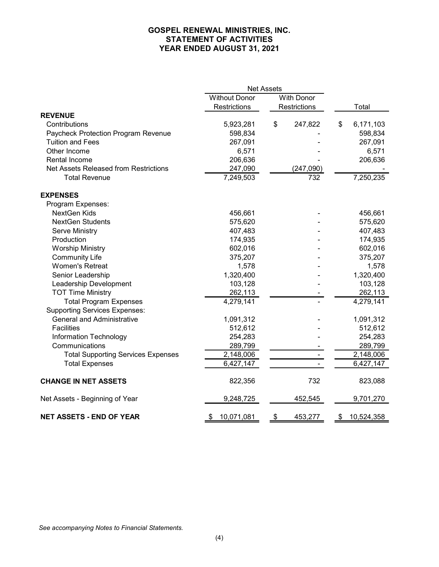#### GOSPEL RENEWAL MINISTRIES, INC. STATEMENT OF ACTIVITIES YEAR ENDED AUGUST 31, 2021

| YEAR ENDED AUGUST 31, 2021                             |                      |                  |                             |
|--------------------------------------------------------|----------------------|------------------|-----------------------------|
|                                                        | <b>Net Assets</b>    |                  |                             |
|                                                        | <b>Without Donor</b> | With Donor       |                             |
|                                                        | Restrictions         | Restrictions     | Total                       |
| <b>REVENUE</b>                                         |                      |                  |                             |
| Contributions                                          | 5,923,281            | \$<br>247,822    | 6,171,103<br>\$             |
| Paycheck Protection Program Revenue                    | 598,834              |                  | 598,834                     |
| <b>Tuition and Fees</b>                                | 267,091              |                  | 267,091                     |
| Other Income                                           | 6,571                |                  | 6,571                       |
| Rental Income<br>Net Assets Released from Restrictions | 206,636              |                  | 206,636                     |
| <b>Total Revenue</b>                                   | 247,090<br>7,249,503 | (247,090)<br>732 | 7,250,235                   |
| <b>EXPENSES</b>                                        |                      |                  |                             |
| Program Expenses:                                      |                      |                  |                             |
| NextGen Kids                                           | 456,661              |                  | 456,661                     |
| <b>NextGen Students</b>                                | 575,620              |                  | 575,620                     |
| Serve Ministry                                         | 407,483              |                  | 407,483                     |
| Production                                             | 174,935              |                  | 174,935                     |
| <b>Worship Ministry</b>                                | 602,016              |                  | 602,016                     |
| <b>Community Life</b>                                  | 375,207              |                  | 375,207                     |
| Women's Retreat                                        | 1,578                |                  | 1,578                       |
| Senior Leadership                                      | 1,320,400            |                  | 1,320,400                   |
| Leadership Development                                 | 103,128              |                  | 103,128                     |
| <b>TOT Time Ministry</b>                               | 262,113              |                  | 262,113                     |
| <b>Total Program Expenses</b>                          | 4,279,141            |                  | 4,279,141                   |
| <b>Supporting Services Expenses:</b>                   |                      |                  |                             |
| <b>General and Administrative</b>                      | 1,091,312            |                  | 1,091,312                   |
| Facilities                                             | 512,612              |                  | 512,612                     |
| Information Technology                                 | 254,283              |                  | 254,283                     |
| Communications                                         | 289,799              | $\blacksquare$   | 289,799                     |
| <b>Total Supporting Services Expenses</b>              | 2,148,006            | $\blacksquare$   | $\overline{2,}148,006$      |
| <b>Total Expenses</b>                                  | 6,427,147            |                  | 6,427,147                   |
| <b>CHANGE IN NET ASSETS</b>                            | 822,356              | 732              | 823,088                     |
| Net Assets - Beginning of Year                         | 9,248,725            | 452,545          | 9,701,270                   |
| <b>NET ASSETS - END OF YEAR</b>                        | 10,071,081<br>S.     | 453,277<br>\$    | 10,524,358<br>$\frac{1}{2}$ |

See accompanying Notes to Financial Statements.